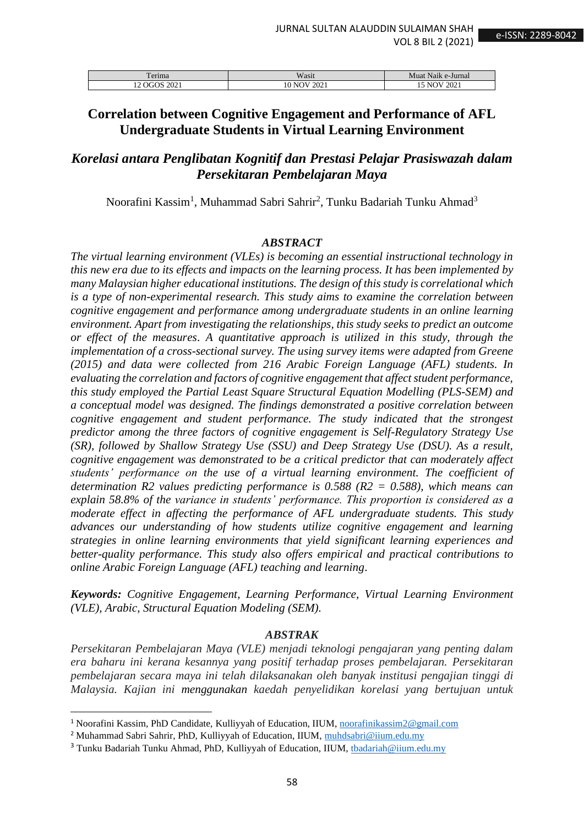| <b>TELL</b><br>erima                    | Wasit                   | .<br>Muat<br>e-Jurnal :<br>Naik |
|-----------------------------------------|-------------------------|---------------------------------|
| 2021<br>ъOЯ<br>$\overline{\phantom{0}}$ | 2021<br>W<br>-NK<br>1 V | 2021<br>NI                      |

# **Correlation between Cognitive Engagement and Performance of AFL Undergraduate Students in Virtual Learning Environment**

# *Korelasi antara Penglibatan Kognitif dan Prestasi Pelajar Prasiswazah dalam Persekitaran Pembelajaran Maya*

Noorafini Kassim<sup>1</sup>, Muhammad Sabri Sahrir<sup>2</sup>, Tunku Badariah Tunku Ahmad<sup>3</sup>

### *ABSTRACT*

*The virtual learning environment (VLEs) is becoming an essential instructional technology in this new era due to its effects and impacts on the learning process. It has been implemented by many Malaysian higher educational institutions. The design of this study is correlational which is a type of non-experimental research. This study aims to examine the correlation between cognitive engagement and performance among undergraduate students in an online learning environment. Apart from investigating the relationships, this study seeks to predict an outcome or effect of the measures*. *A quantitative approach is utilized in this study, through the implementation of a cross-sectional survey. The using survey items were adapted from Greene (2015) and data were collected from 216 Arabic Foreign Language (AFL) students. In evaluating the correlation and factors of cognitive engagement that affect student performance, this study employed the Partial Least Square Structural Equation Modelling (PLS-SEM) and a conceptual model was designed. The findings demonstrated a positive correlation between cognitive engagement and student performance. The study indicated that the strongest predictor among the three factors of cognitive engagement is Self-Regulatory Strategy Use (SR), followed by Shallow Strategy Use (SSU) and Deep Strategy Use (DSU). As a result, cognitive engagement was demonstrated to be a critical predictor that can moderately affect students' performance on the use of a virtual learning environment. The coefficient of determination R2 values predicting performance is 0.588 (R2 = 0.588), which means can explain 58.8% of the variance in students' performance. This proportion is considered as a moderate effect in affecting the performance of AFL undergraduate students. This study advances our understanding of how students utilize cognitive engagement and learning strategies in online learning environments that yield significant learning experiences and better-quality performance. This study also offers empirical and practical contributions to online Arabic Foreign Language (AFL) teaching and learning*.

*Keywords: Cognitive Engagement, Learning Performance, Virtual Learning Environment (VLE), Arabic, Structural Equation Modeling (SEM).*

#### *ABSTRAK*

*Persekitaran Pembelajaran Maya (VLE) menjadi teknologi pengajaran yang penting dalam era baharu ini kerana kesannya yang positif terhadap proses pembelajaran. Persekitaran pembelajaran secara maya ini telah dilaksanakan oleh banyak institusi pengajian tinggi di Malaysia. Kajian ini menggunakan kaedah penyelidikan korelasi yang bertujuan untuk* 

<sup>1</sup> Noorafini Kassim, PhD Candidate, Kulliyyah of Education, IIUM, [noorafinikassim2@gmail.com](mailto:noorafinikassim2@gmail.com)

<sup>&</sup>lt;sup>2</sup> Muhammad Sabri Sahrir, PhD, Kulliyyah of Education, IIUM, [muhdsabri@iium.edu.my](mailto:muhdsabri@iium.edu.my)

<sup>&</sup>lt;sup>3</sup> Tunku Badariah Tunku Ahmad, PhD, Kulliyyah of Education, IIUM, [tbadariah@iium.edu.my](mailto:tbadariah@iium.edu.my)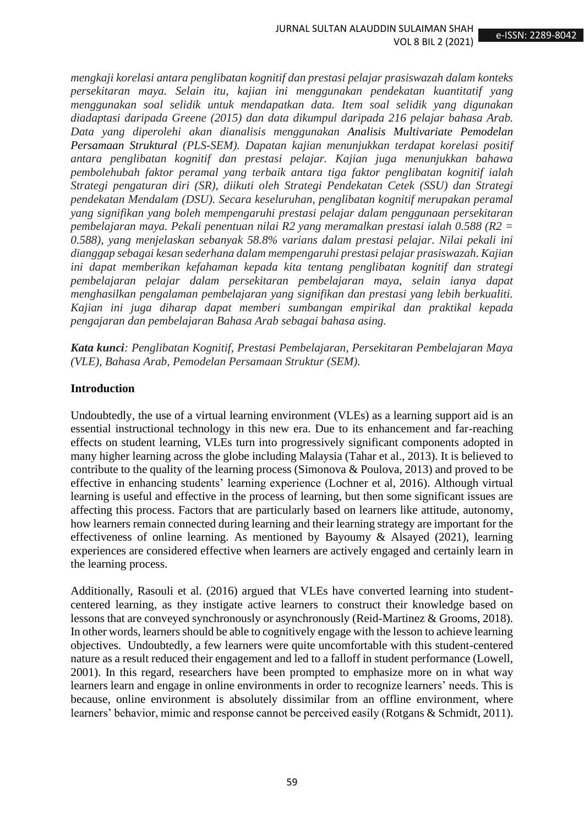*mengkaji korelasi antara penglibatan kognitif dan prestasi pelajar prasiswazah dalam konteks persekitaran maya. Selain itu, kajian ini menggunakan pendekatan kuantitatif yang menggunakan soal selidik untuk mendapatkan data. Item soal selidik yang digunakan diadaptasi daripada Greene (2015) dan data dikumpul daripada 216 pelajar bahasa Arab. Data yang diperolehi akan dianalisis menggunakan Analisis Multivariate Pemodelan Persamaan Struktural (PLS-SEM). Dapatan kajian menunjukkan terdapat korelasi positif antara penglibatan kognitif dan prestasi pelajar. Kajian juga menunjukkan bahawa pembolehubah faktor peramal yang terbaik antara tiga faktor penglibatan kognitif ialah Strategi pengaturan diri (SR), diikuti oleh Strategi Pendekatan Cetek (SSU) dan Strategi pendekatan Mendalam (DSU). Secara keseluruhan, penglibatan kognitif merupakan peramal yang signifikan yang boleh mempengaruhi prestasi pelajar dalam penggunaan persekitaran pembelajaran maya. Pekali penentuan nilai R2 yang meramalkan prestasi ialah 0.588 (R2 = 0.588), yang menjelaskan sebanyak 58.8% varians dalam prestasi pelajar. Nilai pekali ini dianggap sebagai kesan sederhana dalam mempengaruhi prestasi pelajar prasiswazah. Kajian ini dapat memberikan kefahaman kepada kita tentang penglibatan kognitif dan strategi pembelajaran pelajar dalam persekitaran pembelajaran maya, selain ianya dapat menghasilkan pengalaman pembelajaran yang signifikan dan prestasi yang lebih berkualiti. Kajian ini juga diharap dapat memberi sumbangan empirikal dan praktikal kepada pengajaran dan pembelajaran Bahasa Arab sebagai bahasa asing.*

*Kata kunci: Penglibatan Kognitif, Prestasi Pembelajaran, Persekitaran Pembelajaran Maya (VLE), Bahasa Arab, Pemodelan Persamaan Struktur (SEM).*

### **Introduction**

Undoubtedly, the use of a virtual learning environment (VLEs) as a learning support aid is an essential instructional technology in this new era. Due to its enhancement and far-reaching effects on student learning, VLEs turn into progressively significant components adopted in many higher learning across the globe including Malaysia (Tahar et al., 2013). It is believed to contribute to the quality of the learning process (Simonova & Poulova, 2013) and proved to be effective in enhancing students' learning experience (Lochner et al, 2016). Although virtual learning is useful and effective in the process of learning, but then some significant issues are affecting this process. Factors that are particularly based on learners like attitude, autonomy, how learners remain connected during learning and their learning strategy are important for the effectiveness of online learning. As mentioned by Bayoumy & Alsayed (2021), learning experiences are considered effective when learners are actively engaged and certainly learn in the learning process.

Additionally, Rasouli et al. (2016) argued that VLEs have converted learning into studentcentered learning, as they instigate active learners to construct their knowledge based on lessons that are conveyed synchronously or asynchronously (Reid-Martinez & Grooms, 2018). In other words, learners should be able to cognitively engage with the lesson to achieve learning objectives. Undoubtedly, a few learners were quite uncomfortable with this student-centered nature as a result reduced their engagement and led to a falloff in student performance (Lowell, 2001). In this regard, researchers have been prompted to emphasize more on in what way learners learn and engage in online environments in order to recognize learners' needs. This is because, online environment is absolutely dissimilar from an offline environment, where learners' behavior, mimic and response cannot be perceived easily (Rotgans & Schmidt, 2011).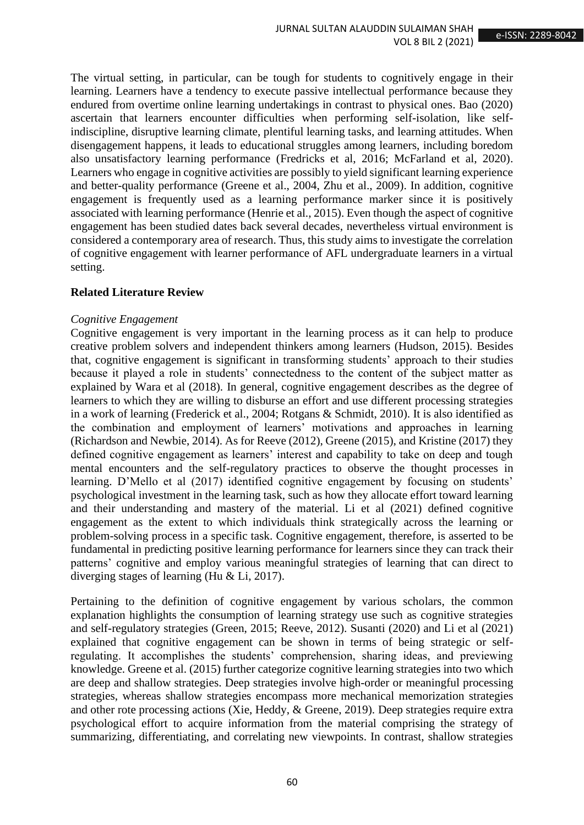The virtual setting, in particular, can be tough for students to cognitively engage in their learning. Learners have a tendency to execute passive intellectual performance because they endured from overtime online learning undertakings in contrast to physical ones. Bao (2020) ascertain that learners encounter difficulties when performing self-isolation, like selfindiscipline, disruptive learning climate, plentiful learning tasks, and learning attitudes. When disengagement happens, it leads to educational struggles among learners, including boredom also unsatisfactory learning performance (Fredricks et al, 2016; McFarland et al, 2020). Learners who engage in cognitive activities are possibly to yield significant learning experience and better-quality performance (Greene et al., 2004, Zhu et al., 2009). In addition, cognitive engagement is frequently used as a learning performance marker since it is positively associated with learning performance (Henrie et al., 2015). Even though the aspect of cognitive engagement has been studied dates back several decades, nevertheless virtual environment is considered a contemporary area of research. Thus, this study aims to investigate the correlation of cognitive engagement with learner performance of AFL undergraduate learners in a virtual setting.

### **Related Literature Review**

### *Cognitive Engagement*

Cognitive engagement is very important in the learning process as it can help to produce creative problem solvers and independent thinkers among learners (Hudson, 2015). Besides that, cognitive engagement is significant in transforming students' approach to their studies because it played a role in students' connectedness to the content of the subject matter as explained by Wara et al (2018). In general, cognitive engagement describes as the degree of learners to which they are willing to disburse an effort and use different processing strategies in a work of learning (Frederick et al., 2004; Rotgans & Schmidt, 2010). It is also identified as the combination and employment of learners' motivations and approaches in learning (Richardson and Newbie, 2014). As for Reeve (2012), Greene (2015), and Kristine (2017) they defined cognitive engagement as learners' interest and capability to take on deep and tough mental encounters and the self-regulatory practices to observe the thought processes in learning. D'Mello et al (2017) identified cognitive engagement by focusing on students' psychological investment in the learning task, such as how they allocate effort toward learning and their understanding and mastery of the material. Li et al (2021) defined cognitive engagement as the extent to which individuals think strategically across the learning or problem-solving process in a specific task. Cognitive engagement, therefore, is asserted to be fundamental in predicting positive learning performance for learners since they can track their patterns' cognitive and employ various meaningful strategies of learning that can direct to diverging stages of learning (Hu & Li, 2017).

Pertaining to the definition of cognitive engagement by various scholars, the common explanation highlights the consumption of learning strategy use such as cognitive strategies and self-regulatory strategies (Green, 2015; Reeve, 2012). Susanti (2020) and Li et al (2021) explained that cognitive engagement can be shown in terms of being strategic or selfregulating. It accomplishes the students' comprehension, sharing ideas, and previewing knowledge. Greene et al. (2015) further categorize cognitive learning strategies into two which are deep and shallow strategies. Deep strategies involve high-order or meaningful processing strategies, whereas shallow strategies encompass more mechanical memorization strategies and other rote processing actions (Xie, Heddy, & Greene, 2019). Deep strategies require extra psychological effort to acquire information from the material comprising the strategy of summarizing, differentiating, and correlating new viewpoints. In contrast, shallow strategies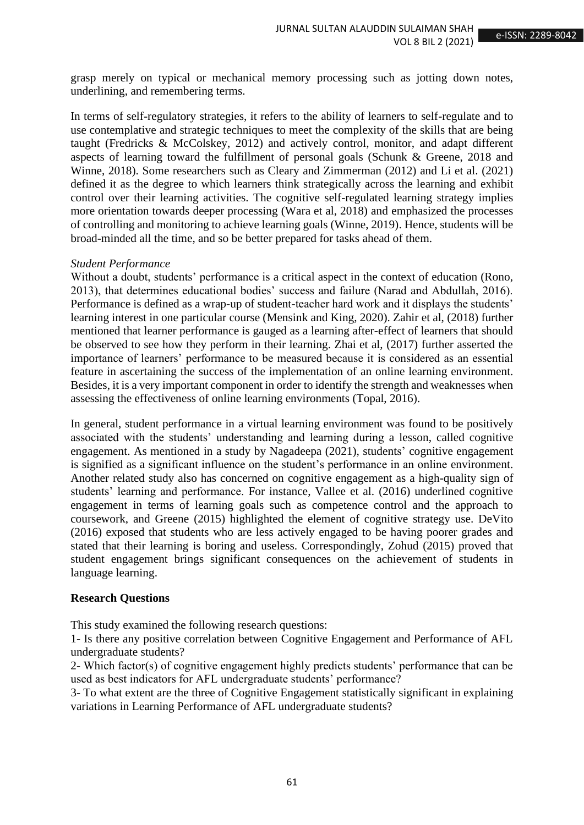grasp merely on typical or mechanical memory processing such as jotting down notes, underlining, and remembering terms.

In terms of self-regulatory strategies, it refers to the ability of learners to self-regulate and to use contemplative and strategic techniques to meet the complexity of the skills that are being taught (Fredricks & McColskey, 2012) and actively control, monitor, and adapt different aspects of learning toward the fulfillment of personal goals (Schunk & Greene, 2018 and Winne, 2018). Some researchers such as Cleary and Zimmerman (2012) and Li et al. (2021) defined it as the degree to which learners think strategically across the learning and exhibit control over their learning activities. The cognitive self-regulated learning strategy implies more orientation towards deeper processing (Wara et al, 2018) and emphasized the processes of controlling and monitoring to achieve learning goals (Winne, 2019). Hence, students will be broad-minded all the time, and so be better prepared for tasks ahead of them.

### *Student Performance*

Without a doubt, students' performance is a critical aspect in the context of education (Rono, 2013), that determines educational bodies' success and failure (Narad and Abdullah, 2016). Performance is defined as a wrap-up of student-teacher hard work and it displays the students' learning interest in one particular course (Mensink and King, 2020). Zahir et al, (2018) further mentioned that learner performance is gauged as a learning after-effect of learners that should be observed to see how they perform in their learning. Zhai et al, (2017) further asserted the importance of learners' performance to be measured because it is considered as an essential feature in ascertaining the success of the implementation of an online learning environment. Besides, it is a very important component in order to identify the strength and weaknesses when assessing the effectiveness of online learning environments (Topal, 2016).

In general, student performance in a virtual learning environment was found to be positively associated with the students' understanding and learning during a lesson, called cognitive engagement. As mentioned in a study by Nagadeepa (2021), students' cognitive engagement is signified as a significant influence on the student's performance in an online environment. Another related study also has concerned on cognitive engagement as a high-quality sign of students' learning and performance. For instance, Vallee et al. (2016) underlined cognitive engagement in terms of learning goals such as competence control and the approach to coursework, and Greene (2015) highlighted the element of cognitive strategy use. DeVito (2016) exposed that students who are less actively engaged to be having poorer grades and stated that their learning is boring and useless. Correspondingly, Zohud (2015) proved that student engagement brings significant consequences on the achievement of students in language learning.

### **Research Questions**

This study examined the following research questions:

1- Is there any positive correlation between Cognitive Engagement and Performance of AFL undergraduate students?

2- Which factor(s) of cognitive engagement highly predicts students' performance that can be used as best indicators for AFL undergraduate students' performance?

3- To what extent are the three of Cognitive Engagement statistically significant in explaining variations in Learning Performance of AFL undergraduate students?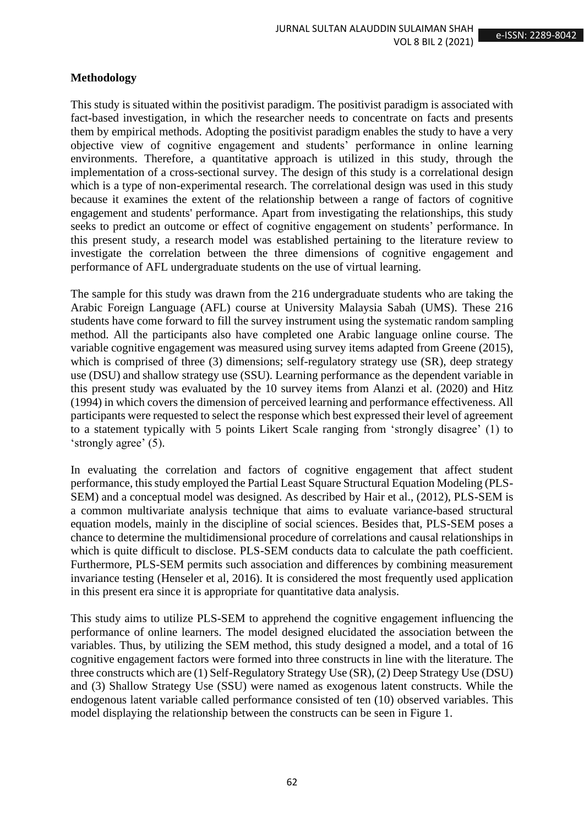### **Methodology**

This study is situated within the positivist paradigm. The positivist paradigm is associated with fact-based investigation, in which the researcher needs to concentrate on facts and presents them by empirical methods. Adopting the positivist paradigm enables the study to have a very objective view of cognitive engagement and students' performance in online learning environments. Therefore, a quantitative approach is utilized in this study, through the implementation of a cross-sectional survey. The design of this study is a correlational design which is a type of non-experimental research. The correlational design was used in this study because it examines the extent of the relationship between a range of factors of cognitive engagement and students' performance. Apart from investigating the relationships, this study seeks to predict an outcome or effect of cognitive engagement on students' performance. In this present study, a research model was established pertaining to the literature review to investigate the correlation between the three dimensions of cognitive engagement and performance of AFL undergraduate students on the use of virtual learning.

The sample for this study was drawn from the 216 undergraduate students who are taking the Arabic Foreign Language (AFL) course at University Malaysia Sabah (UMS). These 216 students have come forward to fill the survey instrument using the systematic random sampling method. All the participants also have completed one Arabic language online course. The variable cognitive engagement was measured using survey items adapted from Greene (2015), which is comprised of three (3) dimensions; self-regulatory strategy use (SR), deep strategy use (DSU) and shallow strategy use (SSU). Learning performance as the dependent variable in this present study was evaluated by the 10 survey items from Alanzi et al. (2020) and Hitz (1994) in which covers the dimension of perceived learning and performance effectiveness. All participants were requested to select the response which best expressed their level of agreement to a statement typically with 5 points Likert Scale ranging from 'strongly disagree' (1) to 'strongly agree' (5).

In evaluating the correlation and factors of cognitive engagement that affect student performance, this study employed the Partial Least Square Structural Equation Modeling (PLS-SEM) and a conceptual model was designed. As described by Hair et al., (2012), PLS-SEM is a common multivariate analysis technique that aims to evaluate variance-based structural equation models, mainly in the discipline of social sciences. Besides that, PLS-SEM poses a chance to determine the multidimensional procedure of correlations and causal relationships in which is quite difficult to disclose. PLS-SEM conducts data to calculate the path coefficient. Furthermore, PLS-SEM permits such association and differences by combining measurement invariance testing (Henseler et al, 2016). It is considered the most frequently used application in this present era since it is appropriate for quantitative data analysis.

This study aims to utilize PLS-SEM to apprehend the cognitive engagement influencing the performance of online learners. The model designed elucidated the association between the variables. Thus, by utilizing the SEM method, this study designed a model, and a total of 16 cognitive engagement factors were formed into three constructs in line with the literature. The three constructs which are (1) Self-Regulatory Strategy Use (SR), (2) Deep Strategy Use (DSU) and (3) Shallow Strategy Use (SSU) were named as exogenous latent constructs. While the endogenous latent variable called performance consisted of ten (10) observed variables. This model displaying the relationship between the constructs can be seen in Figure 1.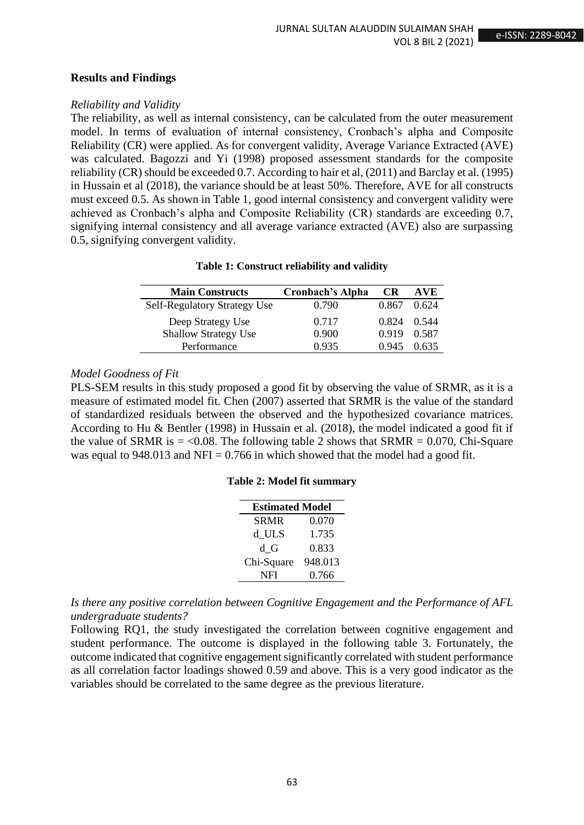## **Results and Findings**

## *Reliability and Validity*

The reliability, as well as internal consistency, can be calculated from the outer measurement model. In terms of evaluation of internal consistency, Cronbach's alpha and Composite Reliability (CR) were applied. As for convergent validity, Average Variance Extracted (AVE) was calculated. Bagozzi and Yi (1998) proposed assessment standards for the composite reliability (CR) should be exceeded 0.7. According to hair et al, (2011) and Barclay et al. (1995) in Hussain et al (2018), the variance should be at least 50%. Therefore, AVE for all constructs must exceed 0.5. As shown in Table 1, good internal consistency and convergent validity were achieved as Cronbach's alpha and Composite Reliability (CR) standards are exceeding 0.7, signifying internal consistency and all average variance extracted (AVE) also are surpassing 0.5, signifying convergent validity.

|  |  |  | Table 1: Construct reliability and validity |
|--|--|--|---------------------------------------------|
|--|--|--|---------------------------------------------|

| <b>Main Constructs</b>              | Cronbach's Alpha | CR.   | AVE.  |
|-------------------------------------|------------------|-------|-------|
| <b>Self-Regulatory Strategy Use</b> | 0.790            | 0.867 | 0.624 |
| Deep Strategy Use                   | 0.717            | 0.824 | 0.544 |
| <b>Shallow Strategy Use</b>         | 0.900            | 0.919 | 0.587 |
| Performance                         | 0.935            | 0.945 | 0.635 |

## *Model Goodness of Fit*

PLS-SEM results in this study proposed a good fit by observing the value of SRMR, as it is a measure of estimated model fit. Chen (2007) asserted that SRMR is the value of the standard of standardized residuals between the observed and the hypothesized covariance matrices. According to Hu & Bentler (1998) in Hussain et al. (2018), the model indicated a good fit if the value of SRMR is  $=$  <0.08. The following table 2 shows that SRMR  $=$  0.070, Chi-Square was equal to  $948.013$  and NFI = 0.766 in which showed that the model had a good fit.

## **Table 2: Model fit summary**

| <b>Estimated Model</b> |         |  |
|------------------------|---------|--|
| <b>SRMR</b>            | 0.070   |  |
| d ULS                  | 1.735   |  |
| d G                    | 0.833   |  |
| Chi-Square             | 948.013 |  |
| NFI                    | 0.766   |  |

*Is there any positive correlation between Cognitive Engagement and the Performance of AFL undergraduate students?*

Following RQ1, the study investigated the correlation between cognitive engagement and student performance. The outcome is displayed in the following table 3. Fortunately, the outcome indicated that cognitive engagement significantly correlated with student performance as all correlation factor loadings showed 0.59 and above. This is a very good indicator as the variables should be correlated to the same degree as the previous literature.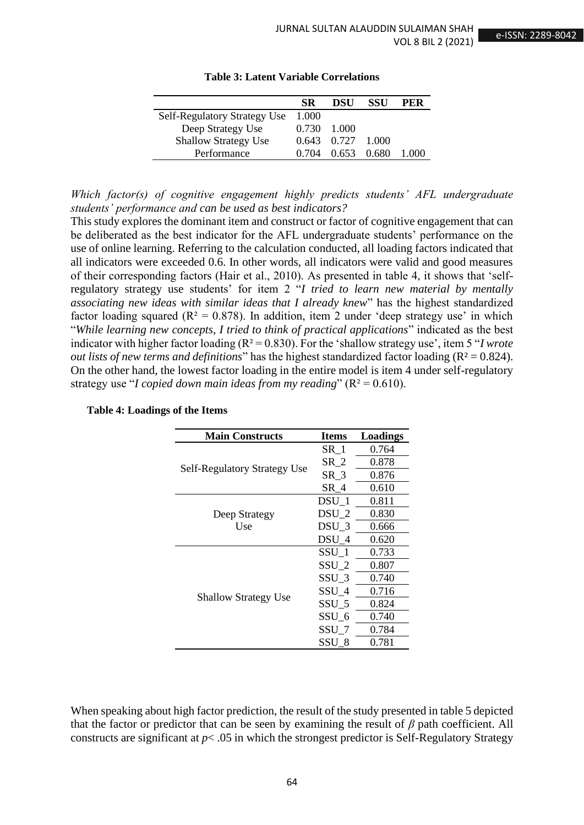|                                     | <b>SR</b> | DSU               | SSU | PER   |
|-------------------------------------|-----------|-------------------|-----|-------|
| <b>Self-Regulatory Strategy Use</b> | 1.000     |                   |     |       |
| Deep Strategy Use                   | 0.730     | -1.000            |     |       |
| <b>Shallow Strategy Use</b>         |           | 0.643 0.727 1.000 |     |       |
| Performance                         | 0.704     | 0.653 0.680       |     | 1.000 |

**Table 3: Latent Variable Correlations**

*Which factor(s) of cognitive engagement highly predicts students' AFL undergraduate students' performance and can be used as best indicators?*

This study explores the dominant item and construct or factor of cognitive engagement that can be deliberated as the best indicator for the AFL undergraduate students' performance on the use of online learning. Referring to the calculation conducted, all loading factors indicated that all indicators were exceeded 0.6. In other words, all indicators were valid and good measures of their corresponding factors (Hair et al., 2010). As presented in table 4, it shows that 'selfregulatory strategy use students' for item 2 "*I tried to learn new material by mentally associating new ideas with similar ideas that I already knew*" has the highest standardized factor loading squared ( $R^2 = 0.878$ ). In addition, item 2 under 'deep strategy use' in which "*While learning new concepts, I tried to think of practical applications*" indicated as the best indicator with higher factor loading (R² = 0.830). For the 'shallow strategy use', item 5 "*I wrote out lists of new terms and definitions*" has the highest standardized factor loading (R² = 0.824). On the other hand, the lowest factor loading in the entire model is item 4 under self-regulatory strategy use "*I copied down main ideas from my reading*" (R² = 0.610).

| <b>Main Constructs</b>              | <b>Items</b>     | Loadings |
|-------------------------------------|------------------|----------|
|                                     | $SR_1$           | 0.764    |
|                                     | $SR_2$           | 0.878    |
| <b>Self-Regulatory Strategy Use</b> | $SR_3$           | 0.876    |
|                                     | $SR_4$           | 0.610    |
|                                     | DSU 1            | 0.811    |
| Deep Strategy                       | DSU <sub>2</sub> | 0.830    |
| Use                                 | DSU <sub>3</sub> | 0.666    |
|                                     | DSU 4            | 0.620    |
|                                     | SSU <sub>1</sub> | 0.733    |
|                                     | SSU <sub>2</sub> | 0.807    |
| <b>Shallow Strategy Use</b>         | SSU <sub>3</sub> | 0.740    |
|                                     | SSU 4            | 0.716    |
|                                     | SSU <sub>5</sub> | 0.824    |
|                                     | SSU <sub>6</sub> | 0.740    |
|                                     | $SSU_7$          | 0.784    |
|                                     | SSU 8            | 0.781    |

#### **Table 4: Loadings of the Items**

When speaking about high factor prediction, the result of the study presented in table 5 depicted that the factor or predictor that can be seen by examining the result of *β* path coefficient. All constructs are significant at  $p < .05$  in which the strongest predictor is Self-Regulatory Strategy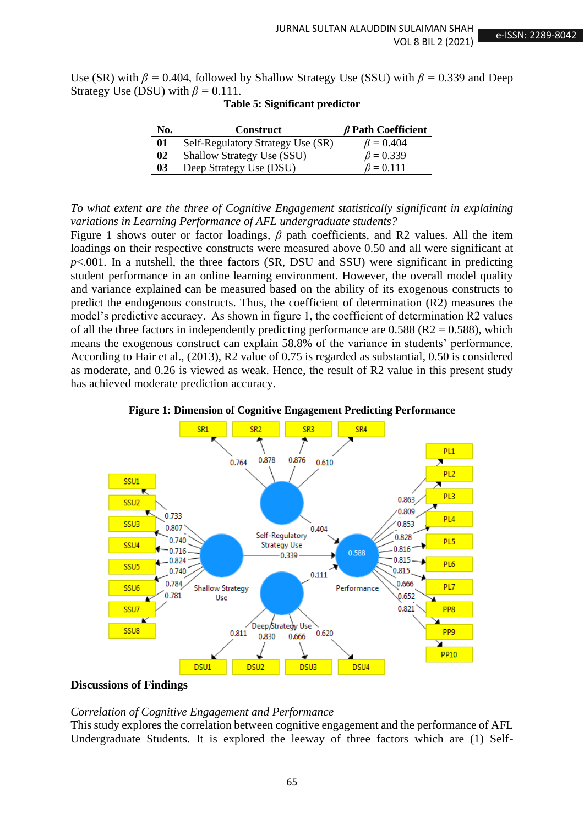Use (SR) with  $\beta$  = 0.404, followed by Shallow Strategy Use (SSU) with  $\beta$  = 0.339 and Deep Strategy Use (DSU) with  $\beta = 0.111$ .

| No. | <b>Construct</b>                  | $\beta$ Path Coefficient |
|-----|-----------------------------------|--------------------------|
| 01  | Self-Regulatory Strategy Use (SR) | $\beta = 0.404$          |
| 02  | <b>Shallow Strategy Use (SSU)</b> | $\beta = 0.339$          |
| 03  | Deep Strategy Use (DSU)           | $\beta = 0.111$          |

#### **Table 5: Significant predictor**

*To what extent are the three of Cognitive Engagement statistically significant in explaining variations in Learning Performance of AFL undergraduate students?*

Figure 1 shows outer or factor loadings, *β* path coefficients, and R2 values. All the item loadings on their respective constructs were measured above 0.50 and all were significant at  $p<.001$ . In a nutshell, the three factors (SR, DSU and SSU) were significant in predicting student performance in an online learning environment. However, the overall model quality and variance explained can be measured based on the ability of its exogenous constructs to predict the endogenous constructs. Thus, the coefficient of determination (R2) measures the model's predictive accuracy. As shown in figure 1, the coefficient of determination R2 values of all the three factors in independently predicting performance are  $0.588$  (R2 = 0.588), which means the exogenous construct can explain 58.8% of the variance in students' performance. According to Hair et al., (2013), R2 value of 0.75 is regarded as substantial, 0.50 is considered as moderate, and 0.26 is viewed as weak. Hence, the result of R2 value in this present study has achieved moderate prediction accuracy.





### **Discussions of Findings**

#### *Correlation of Cognitive Engagement and Performance*

This study explores the correlation between cognitive engagement and the performance of AFL Undergraduate Students. It is explored the leeway of three factors which are (1) Self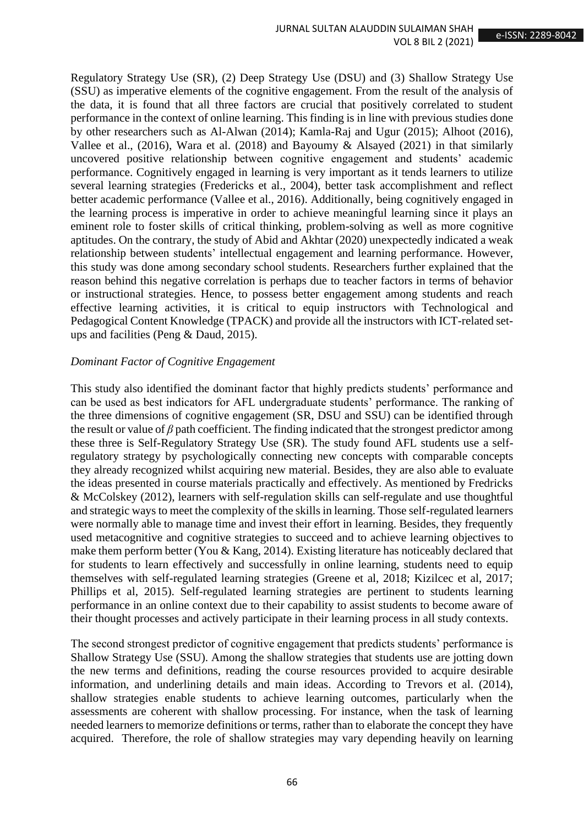Regulatory Strategy Use (SR), (2) Deep Strategy Use (DSU) and (3) Shallow Strategy Use (SSU) as imperative elements of the cognitive engagement. From the result of the analysis of the data, it is found that all three factors are crucial that positively correlated to student performance in the context of online learning. This finding is in line with previous studies done by other researchers such as Al-Alwan (2014); Kamla-Raj and Ugur (2015); Alhoot (2016), Vallee et al., (2016), Wara et al. (2018) and Bayoumy & Alsayed (2021) in that similarly uncovered positive relationship between cognitive engagement and students' academic performance. Cognitively engaged in learning is very important as it tends learners to utilize several learning strategies (Fredericks et al., 2004), better task accomplishment and reflect better academic performance (Vallee et al., 2016). Additionally, being cognitively engaged in the learning process is imperative in order to achieve meaningful learning since it plays an eminent role to foster skills of critical thinking, problem-solving as well as more cognitive aptitudes. On the contrary, the study of Abid and Akhtar (2020) unexpectedly indicated a weak relationship between students' intellectual engagement and learning performance. However, this study was done among secondary school students. Researchers further explained that the reason behind this negative correlation is perhaps due to teacher factors in terms of behavior or instructional strategies. Hence, to possess better engagement among students and reach effective learning activities, it is critical to equip instructors with Technological and Pedagogical Content Knowledge (TPACK) and provide all the instructors with ICT-related setups and facilities (Peng & Daud, 2015).

### *Dominant Factor of Cognitive Engagement*

This study also identified the dominant factor that highly predicts students' performance and can be used as best indicators for AFL undergraduate students' performance. The ranking of the three dimensions of cognitive engagement (SR, DSU and SSU) can be identified through the result or value of *β* path coefficient. The finding indicated that the strongest predictor among these three is Self-Regulatory Strategy Use (SR). The study found AFL students use a selfregulatory strategy by psychologically connecting new concepts with comparable concepts they already recognized whilst acquiring new material. Besides, they are also able to evaluate the ideas presented in course materials practically and effectively. As mentioned by Fredricks & McColskey (2012), learners with self-regulation skills can self-regulate and use thoughtful and strategic ways to meet the complexity of the skills in learning. Those self-regulated learners were normally able to manage time and invest their effort in learning. Besides, they frequently used metacognitive and cognitive strategies to succeed and to achieve learning objectives to make them perform better (You & Kang, 2014). Existing literature has noticeably declared that for students to learn effectively and successfully in online learning, students need to equip themselves with self-regulated learning strategies (Greene et al, 2018; Kizilcec et al, 2017; Phillips et al, 2015). Self-regulated learning strategies are pertinent to students learning performance in an online context due to their capability to assist students to become aware of their thought processes and actively participate in their learning process in all study contexts.

The second strongest predictor of cognitive engagement that predicts students' performance is Shallow Strategy Use (SSU). Among the shallow strategies that students use are jotting down the new terms and definitions, reading the course resources provided to acquire desirable information, and underlining details and main ideas. According to Trevors et al. (2014), shallow strategies enable students to achieve learning outcomes, particularly when the assessments are coherent with shallow processing. For instance, when the task of learning needed learners to memorize definitions or terms, rather than to elaborate the concept they have acquired. Therefore, the role of shallow strategies may vary depending heavily on learning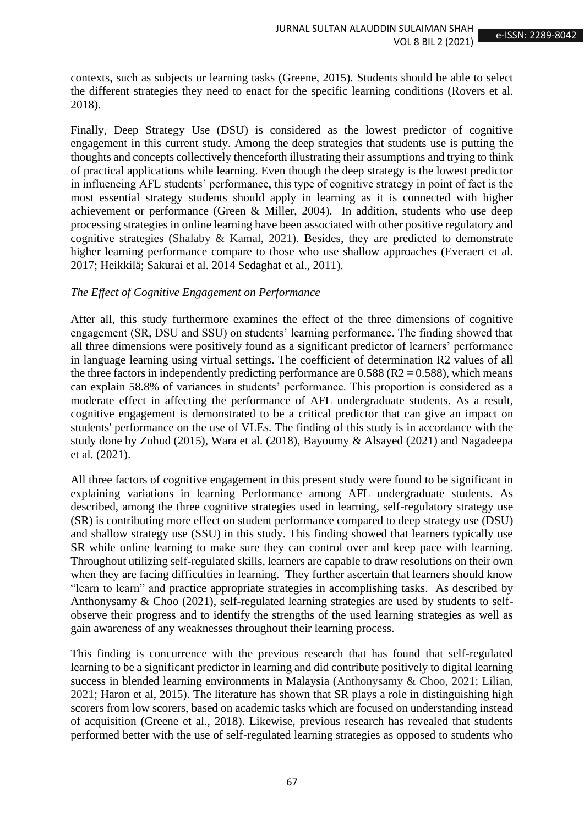contexts, such as subjects or learning tasks (Greene, 2015). Students should be able to select the different strategies they need to enact for the specific learning conditions (Rovers et al. 2018).

Finally, Deep Strategy Use (DSU) is considered as the lowest predictor of cognitive engagement in this current study. Among the deep strategies that students use is putting the thoughts and concepts collectively thenceforth illustrating their assumptions and trying to think of practical applications while learning. Even though the deep strategy is the lowest predictor in influencing AFL students' performance, this type of cognitive strategy in point of fact is the most essential strategy students should apply in learning as it is connected with higher achievement or performance (Green & Miller, 2004). In addition, students who use deep processing strategies in online learning have been associated with other positive regulatory and cognitive strategies (Shalaby & Kamal, 2021). Besides, they are predicted to demonstrate higher learning performance compare to those who use shallow approaches (Everaert et al. 2017; Heikkilä; Sakurai et al. 2014 Sedaghat et al., 2011).

## *The Effect of Cognitive Engagement on Performance*

After all, this study furthermore examines the effect of the three dimensions of cognitive engagement (SR, DSU and SSU) on students' learning performance. The finding showed that all three dimensions were positively found as a significant predictor of learners' performance in language learning using virtual settings. The coefficient of determination R2 values of all the three factors in independently predicting performance are  $0.588$  (R2 = 0.588), which means can explain 58.8% of variances in students' performance. This proportion is considered as a moderate effect in affecting the performance of AFL undergraduate students. As a result, cognitive engagement is demonstrated to be a critical predictor that can give an impact on students' performance on the use of VLEs. The finding of this study is in accordance with the study done by Zohud (2015), Wara et al. (2018), Bayoumy & Alsayed (2021) and Nagadeepa et al. (2021).

All three factors of cognitive engagement in this present study were found to be significant in explaining variations in learning Performance among AFL undergraduate students. As described, among the three cognitive strategies used in learning, self-regulatory strategy use (SR) is contributing more effect on student performance compared to deep strategy use (DSU) and shallow strategy use (SSU) in this study. This finding showed that learners typically use SR while online learning to make sure they can control over and keep pace with learning. Throughout utilizing self-regulated skills, learners are capable to draw resolutions on their own when they are facing difficulties in learning. They further ascertain that learners should know "learn to learn" and practice appropriate strategies in accomplishing tasks. As described by Anthonysamy & Choo (2021), self-regulated learning strategies are used by students to selfobserve their progress and to identify the strengths of the used learning strategies as well as gain awareness of any weaknesses throughout their learning process.

This finding is concurrence with the previous research that has found that self-regulated learning to be a significant predictor in learning and did contribute positively to digital learning success in blended learning environments in Malaysia (Anthonysamy & Choo, 2021; Lilian, 2021; Haron et al, 2015). The literature has shown that SR plays a role in distinguishing high scorers from low scorers, based on academic tasks which are focused on understanding instead of acquisition (Greene et al., 2018). Likewise, previous research has revealed that students performed better with the use of self-regulated learning strategies as opposed to students who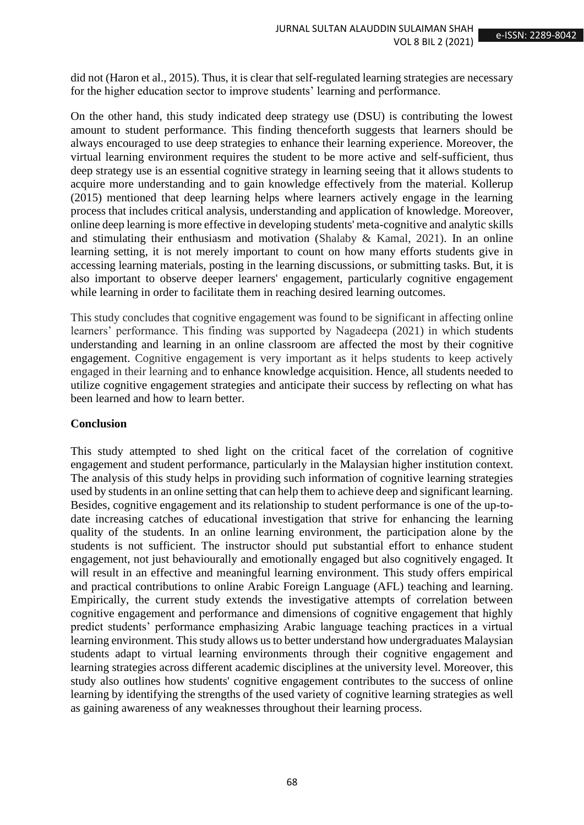did not (Haron et al., 2015). Thus, it is clear that self-regulated learning strategies are necessary for the higher education sector to improve students' learning and performance.

On the other hand, this study indicated deep strategy use (DSU) is contributing the lowest amount to student performance. This finding thenceforth suggests that learners should be always encouraged to use deep strategies to enhance their learning experience. Moreover, the virtual learning environment requires the student to be more active and self-sufficient, thus deep strategy use is an essential cognitive strategy in learning seeing that it allows students to acquire more understanding and to gain knowledge effectively from the material. Kollerup (2015) mentioned that deep learning helps where learners actively engage in the learning process that includes critical analysis, understanding and application of knowledge. Moreover, online deep learning is more effective in developing students' meta-cognitive and analytic skills and stimulating their enthusiasm and motivation (Shalaby & Kamal, 2021). In an online learning setting, it is not merely important to count on how many efforts students give in accessing learning materials, posting in the learning discussions, or submitting tasks. But, it is also important to observe deeper learners' engagement, particularly cognitive engagement while learning in order to facilitate them in reaching desired learning outcomes.

This study concludes that cognitive engagement was found to be significant in affecting online learners' performance. This finding was supported by Nagadeepa (2021) in which students understanding and learning in an online classroom are affected the most by their cognitive engagement. Cognitive engagement is very important as it helps students to keep actively engaged in their learning and to enhance knowledge acquisition. Hence, all students needed to utilize cognitive engagement strategies and anticipate their success by reflecting on what has been learned and how to learn better.

## **Conclusion**

This study attempted to shed light on the critical facet of the correlation of cognitive engagement and student performance, particularly in the Malaysian higher institution context. The analysis of this study helps in providing such information of cognitive learning strategies used by students in an online setting that can help them to achieve deep and significant learning. Besides, cognitive engagement and its relationship to student performance is one of the up-todate increasing catches of educational investigation that strive for enhancing the learning quality of the students. In an online learning environment, the participation alone by the students is not sufficient. The instructor should put substantial effort to enhance student engagement, not just behaviourally and emotionally engaged but also cognitively engaged. It will result in an effective and meaningful learning environment. This study offers empirical and practical contributions to online Arabic Foreign Language (AFL) teaching and learning. Empirically, the current study extends the investigative attempts of correlation between cognitive engagement and performance and dimensions of cognitive engagement that highly predict students' performance emphasizing Arabic language teaching practices in a virtual learning environment. This study allows us to better understand how undergraduates Malaysian students adapt to virtual learning environments through their cognitive engagement and learning strategies across different academic disciplines at the university level. Moreover, this study also outlines how students' cognitive engagement contributes to the success of online learning by identifying the strengths of the used variety of cognitive learning strategies as well as gaining awareness of any weaknesses throughout their learning process.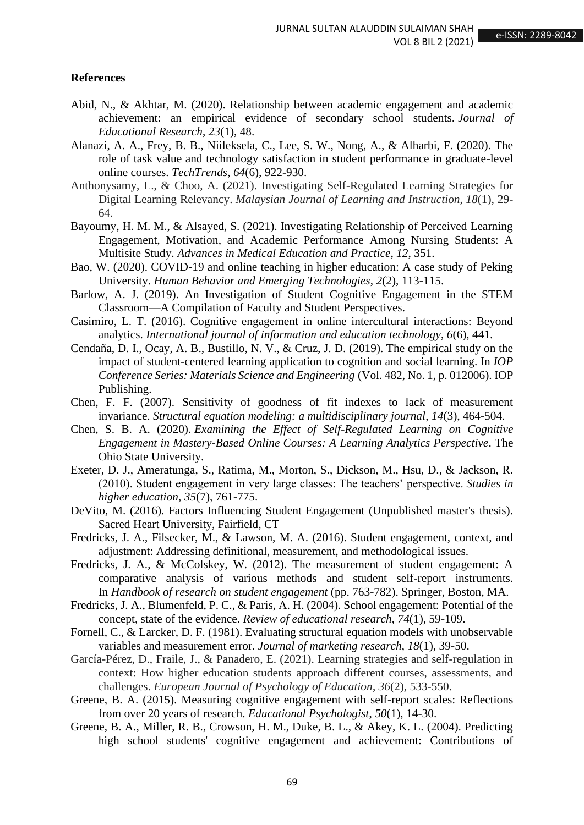#### **References**

- Abid, N., & Akhtar, M. (2020). Relationship between academic engagement and academic achievement: an empirical evidence of secondary school students. *Journal of Educational Research*, *23*(1), 48.
- Alanazi, A. A., Frey, B. B., Niileksela, C., Lee, S. W., Nong, A., & Alharbi, F. (2020). The role of task value and technology satisfaction in student performance in graduate-level online courses. *TechTrends*, *64*(6), 922-930.
- Anthonysamy, L., & Choo, A. (2021). Investigating Self-Regulated Learning Strategies for Digital Learning Relevancy. *Malaysian Journal of Learning and Instruction*, *18*(1), 29- 64.
- Bayoumy, H. M. M., & Alsayed, S. (2021). Investigating Relationship of Perceived Learning Engagement, Motivation, and Academic Performance Among Nursing Students: A Multisite Study. *Advances in Medical Education and Practice*, *12*, 351.
- Bao, W. (2020). COVID-19 and online teaching in higher education: A case study of Peking University. *Human Behavior and Emerging Technologies*, *2*(2), 113-115.
- Barlow, A. J. (2019). An Investigation of Student Cognitive Engagement in the STEM Classroom—A Compilation of Faculty and Student Perspectives.
- Casimiro, L. T. (2016). Cognitive engagement in online intercultural interactions: Beyond analytics. *International journal of information and education technology*, *6*(6), 441.
- Cendaña, D. I., Ocay, A. B., Bustillo, N. V., & Cruz, J. D. (2019). The empirical study on the impact of student-centered learning application to cognition and social learning. In *IOP Conference Series: Materials Science and Engineering* (Vol. 482, No. 1, p. 012006). IOP Publishing.
- Chen, F. F. (2007). Sensitivity of goodness of fit indexes to lack of measurement invariance. *Structural equation modeling: a multidisciplinary journal*, *14*(3), 464-504.
- Chen, S. B. A. (2020). *Examining the Effect of Self-Regulated Learning on Cognitive Engagement in Mastery-Based Online Courses: A Learning Analytics Perspective*. The Ohio State University.
- Exeter, D. J., Ameratunga, S., Ratima, M., Morton, S., Dickson, M., Hsu, D., & Jackson, R. (2010). Student engagement in very large classes: The teachers' perspective. *Studies in higher education*, *35*(7), 761-775.
- DeVito, M. (2016). Factors Influencing Student Engagement (Unpublished master's thesis). Sacred Heart University, Fairfield, CT
- Fredricks, J. A., Filsecker, M., & Lawson, M. A. (2016). Student engagement, context, and adjustment: Addressing definitional, measurement, and methodological issues.
- Fredricks, J. A., & McColskey, W. (2012). The measurement of student engagement: A comparative analysis of various methods and student self-report instruments. In *Handbook of research on student engagement* (pp. 763-782). Springer, Boston, MA.
- Fredricks, J. A., Blumenfeld, P. C., & Paris, A. H. (2004). School engagement: Potential of the concept, state of the evidence. *Review of educational research*, *74*(1), 59-109.
- Fornell, C., & Larcker, D. F. (1981). Evaluating structural equation models with unobservable variables and measurement error. *Journal of marketing research*, *18*(1), 39-50.
- García-Pérez, D., Fraile, J., & Panadero, E. (2021). Learning strategies and self-regulation in context: How higher education students approach different courses, assessments, and challenges. *European Journal of Psychology of Education*, *36*(2), 533-550.
- Greene, B. A. (2015). Measuring cognitive engagement with self-report scales: Reflections from over 20 years of research. *Educational Psychologist*, *50*(1), 14-30.
- Greene, B. A., Miller, R. B., Crowson, H. M., Duke, B. L., & Akey, K. L. (2004). Predicting high school students' cognitive engagement and achievement: Contributions of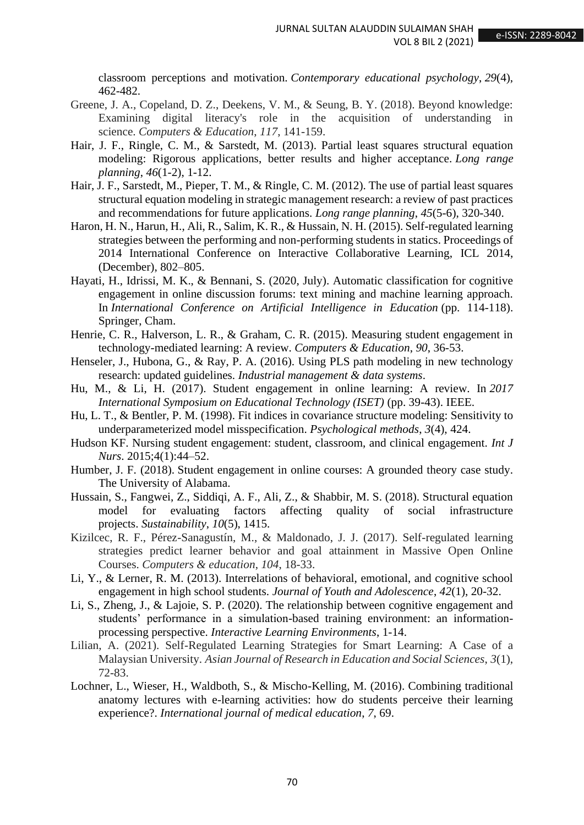classroom perceptions and motivation. *Contemporary educational psychology*, *29*(4), 462-482.

- Greene, J. A., Copeland, D. Z., Deekens, V. M., & Seung, B. Y. (2018). Beyond knowledge: Examining digital literacy's role in the acquisition of understanding in science. *Computers & Education*, *117*, 141-159.
- Hair, J. F., Ringle, C. M., & Sarstedt, M. (2013). Partial least squares structural equation modeling: Rigorous applications, better results and higher acceptance. *Long range planning*, *46*(1-2), 1-12.
- Hair, J. F., Sarstedt, M., Pieper, T. M., & Ringle, C. M. (2012). The use of partial least squares structural equation modeling in strategic management research: a review of past practices and recommendations for future applications. *Long range planning*, *45*(5-6), 320-340.
- Haron, H. N., Harun, H., Ali, R., Salim, K. R., & Hussain, N. H. (2015). Self-regulated learning strategies between the performing and non-performing students in statics. Proceedings of 2014 International Conference on Interactive Collaborative Learning, ICL 2014, (December), 802–805.
- Hayati, H., Idrissi, M. K., & Bennani, S. (2020, July). Automatic classification for cognitive engagement in online discussion forums: text mining and machine learning approach. In *International Conference on Artificial Intelligence in Education* (pp. 114-118). Springer, Cham.
- Henrie, C. R., Halverson, L. R., & Graham, C. R. (2015). Measuring student engagement in technology-mediated learning: A review. *Computers & Education*, *90*, 36-53.
- Henseler, J., Hubona, G., & Ray, P. A. (2016). Using PLS path modeling in new technology research: updated guidelines. *Industrial management & data systems*.
- Hu, M., & Li, H. (2017). Student engagement in online learning: A review. In *2017 International Symposium on Educational Technology (ISET)* (pp. 39-43). IEEE.
- Hu, L. T., & Bentler, P. M. (1998). Fit indices in covariance structure modeling: Sensitivity to underparameterized model misspecification. *Psychological methods*, *3*(4), 424.
- Hudson KF. Nursing student engagement: student, classroom, and clinical engagement. *Int J Nurs*. 2015;4(1):44–52.
- Humber, J. F. (2018). Student engagement in online courses: A grounded theory case study. The University of Alabama.
- Hussain, S., Fangwei, Z., Siddiqi, A. F., Ali, Z., & Shabbir, M. S. (2018). Structural equation model for evaluating factors affecting quality of social infrastructure projects. *Sustainability*, *10*(5), 1415.
- Kizilcec, R. F., Pérez-Sanagustín, M., & Maldonado, J. J. (2017). Self-regulated learning strategies predict learner behavior and goal attainment in Massive Open Online Courses. *Computers & education*, *104*, 18-33.
- Li, Y., & Lerner, R. M. (2013). Interrelations of behavioral, emotional, and cognitive school engagement in high school students. *Journal of Youth and Adolescence*, *42*(1), 20-32.
- Li, S., Zheng, J., & Lajoie, S. P. (2020). The relationship between cognitive engagement and students' performance in a simulation-based training environment: an informationprocessing perspective. *Interactive Learning Environments*, 1-14.
- Lilian, A. (2021). Self-Regulated Learning Strategies for Smart Learning: A Case of a Malaysian University. *Asian Journal of Research in Education and Social Sciences*, *3*(1), 72-83.
- Lochner, L., Wieser, H., Waldboth, S., & Mischo-Kelling, M. (2016). Combining traditional anatomy lectures with e-learning activities: how do students perceive their learning experience?. *International journal of medical education*, *7*, 69.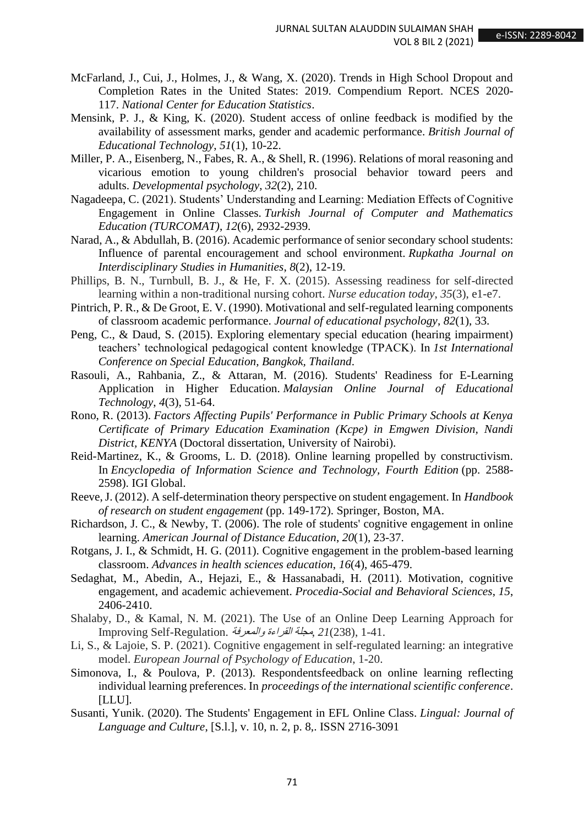- McFarland, J., Cui, J., Holmes, J., & Wang, X. (2020). Trends in High School Dropout and Completion Rates in the United States: 2019. Compendium Report. NCES 2020- 117. *National Center for Education Statistics*.
- Mensink, P. J., & King, K. (2020). Student access of online feedback is modified by the availability of assessment marks, gender and academic performance. *British Journal of Educational Technology*, *51*(1), 10-22.
- Miller, P. A., Eisenberg, N., Fabes, R. A., & Shell, R. (1996). Relations of moral reasoning and vicarious emotion to young children's prosocial behavior toward peers and adults. *Developmental psychology*, *32*(2), 210.
- Nagadeepa, C. (2021). Students' Understanding and Learning: Mediation Effects of Cognitive Engagement in Online Classes. *Turkish Journal of Computer and Mathematics Education (TURCOMAT)*, *12*(6), 2932-2939.
- Narad, A., & Abdullah, B. (2016). Academic performance of senior secondary school students: Influence of parental encouragement and school environment. *Rupkatha Journal on Interdisciplinary Studies in Humanities*, *8*(2), 12-19.
- Phillips, B. N., Turnbull, B. J., & He, F. X. (2015). Assessing readiness for self-directed learning within a non-traditional nursing cohort. *Nurse education today*, *35*(3), e1-e7.
- Pintrich, P. R., & De Groot, E. V. (1990). Motivational and self-regulated learning components of classroom academic performance. *Journal of educational psychology*, *82*(1), 33.
- Peng, C., & Daud, S. (2015). Exploring elementary special education (hearing impairment) teachers' technological pedagogical content knowledge (TPACK). In *1st International Conference on Special Education, Bangkok, Thailand*.
- Rasouli, A., Rahbania, Z., & Attaran, M. (2016). Students' Readiness for E-Learning Application in Higher Education. *Malaysian Online Journal of Educational Technology*, *4*(3), 51-64.
- Rono, R. (2013). *Factors Affecting Pupils' Performance in Public Primary Schools at Kenya Certificate of Primary Education Examination (Kcpe) in Emgwen Division, Nandi District, KENYA* (Doctoral dissertation, University of Nairobi).
- Reid-Martinez, K., & Grooms, L. D. (2018). Online learning propelled by constructivism. In *Encyclopedia of Information Science and Technology, Fourth Edition* (pp. 2588- 2598). IGI Global.
- Reeve, J. (2012). A self-determination theory perspective on student engagement. In *Handbook of research on student engagement* (pp. 149-172). Springer, Boston, MA.
- Richardson, J. C., & Newby, T. (2006). The role of students' cognitive engagement in online learning. *American Journal of Distance Education*, *20*(1), 23-37.
- Rotgans, J. I., & Schmidt, H. G. (2011). Cognitive engagement in the problem-based learning classroom. *Advances in health sciences education*, *16*(4), 465-479.
- Sedaghat, M., Abedin, A., Hejazi, E., & Hassanabadi, H. (2011). Motivation, cognitive engagement, and academic achievement. *Procedia-Social and Behavioral Sciences*, *15*, 2406-2410.
- Shalaby, D., & Kamal, N. M. (2021). The Use of an Online Deep Learning Approach for 1-41. ,(238)*21* ,مجلة القراءة والمعرفة .Regulation-Self Improving
- Li, S., & Lajoie, S. P. (2021). Cognitive engagement in self-regulated learning: an integrative model. *European Journal of Psychology of Education*, 1-20.
- Simonova, I., & Poulova, P. (2013). Respondentsfeedback on online learning reflecting individual learning preferences. In *proceedings of the international scientific conference*. [LLU].
- Susanti, Yunik. (2020). The Students' Engagement in EFL Online Class. *Lingual: Journal of Language and Culture*, [S.l.], v. 10, n. 2, p. 8,. ISSN 2716-3091